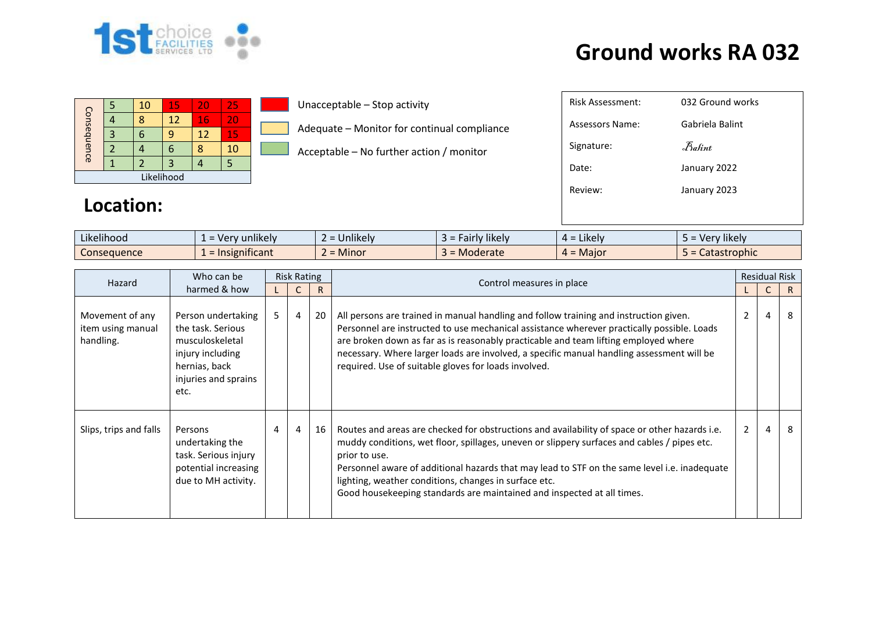

| Consequence |  | 10 | 15 | 20 | 25 |  |  |  |  |  |
|-------------|--|----|----|----|----|--|--|--|--|--|
|             |  |    | 12 | 16 | 20 |  |  |  |  |  |
|             |  |    | q  | 12 | 15 |  |  |  |  |  |
|             |  |    | 6  |    | 10 |  |  |  |  |  |
|             |  |    |    |    |    |  |  |  |  |  |
| Likelihood  |  |    |    |    |    |  |  |  |  |  |

Unacceptable – Stop activity

Adequate – Monitor for continual compliance

Acceptable – No further action / monitor

#### **Location:**

| Likelihood  | unlikely<br>. ver<br>$\overline{\phantom{0}}$ | $\cdots$<br>Unlikely | $\cdots$<br><b>Hikely</b><br>$\sim$<br>all IV | $\cdot$ .<br>Likely<br>ட - | $\cdots$<br>Very likely<br>$\overline{\phantom{0}}$ |
|-------------|-----------------------------------------------|----------------------|-----------------------------------------------|----------------------------|-----------------------------------------------------|
| Consequence | $\cdot$ $\cdot$ $\cdot$<br>mificant<br>1215   | Minor                | <b>Moderate</b>                               | = Maior<br>$\mathbf{A}$ =  | astrophic<br>calast                                 |

| Who can be<br>Hazard<br>harmed & how              |                                                                                                                                 | <b>Risk Rating</b> |                |    | Control measures in place                                                                                                                                                                                                                                                                                                                                                                                                                        |              |                | <b>Residual Risk</b> |  |
|---------------------------------------------------|---------------------------------------------------------------------------------------------------------------------------------|--------------------|----------------|----|--------------------------------------------------------------------------------------------------------------------------------------------------------------------------------------------------------------------------------------------------------------------------------------------------------------------------------------------------------------------------------------------------------------------------------------------------|--------------|----------------|----------------------|--|
|                                                   |                                                                                                                                 |                    | R              |    |                                                                                                                                                                                                                                                                                                                                                                                                                                                  | $\mathsf{C}$ | $\mathsf{R}$   |                      |  |
| Movement of any<br>item using manual<br>handling. | Person undertaking<br>the task. Serious<br>musculoskeletal<br>injury including<br>hernias, back<br>injuries and sprains<br>etc. | 5                  | $\overline{4}$ | 20 | All persons are trained in manual handling and follow training and instruction given.<br>Personnel are instructed to use mechanical assistance wherever practically possible. Loads<br>are broken down as far as is reasonably practicable and team lifting employed where<br>necessary. Where larger loads are involved, a specific manual handling assessment will be<br>required. Use of suitable gloves for loads involved.                  | 2            | $\overline{4}$ | 8                    |  |
| Slips, trips and falls                            | Persons<br>undertaking the<br>task. Serious injury<br>potential increasing<br>due to MH activity.                               | 4                  | $\overline{4}$ | 16 | Routes and areas are checked for obstructions and availability of space or other hazards i.e.<br>muddy conditions, wet floor, spillages, uneven or slippery surfaces and cables / pipes etc.<br>prior to use.<br>Personnel aware of additional hazards that may lead to STF on the same level i.e. inadequate<br>lighting, weather conditions, changes in surface etc.<br>Good housekeeping standards are maintained and inspected at all times. | 2            | $\overline{4}$ | 8                    |  |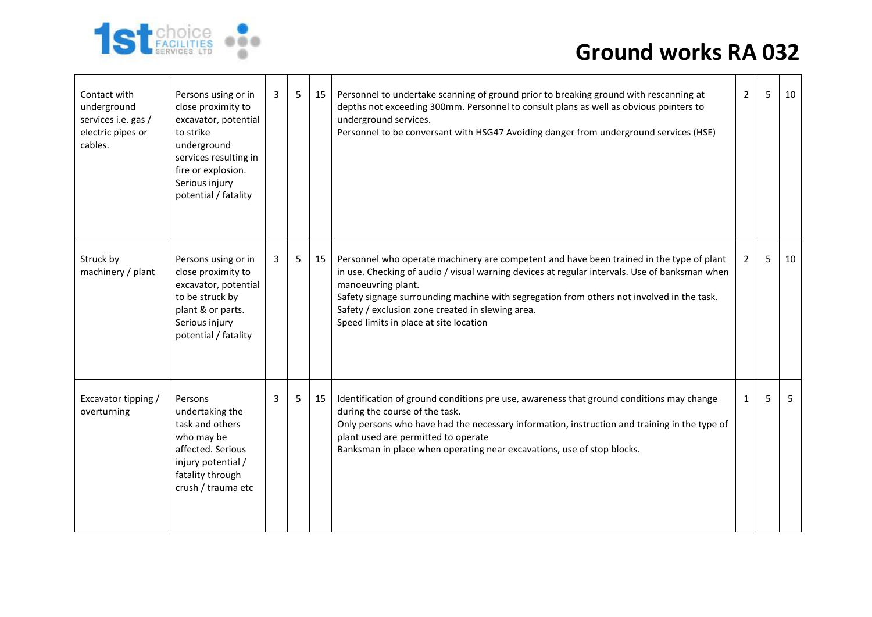



| Contact with<br>underground<br>services i.e. gas /<br>electric pipes or<br>cables. | Persons using or in<br>close proximity to<br>excavator, potential<br>to strike<br>underground<br>services resulting in<br>fire or explosion.<br>Serious injury<br>potential / fatality | 3              | 5  | 15 | Personnel to undertake scanning of ground prior to breaking ground with rescanning at<br>depths not exceeding 300mm. Personnel to consult plans as well as obvious pointers to<br>underground services.<br>Personnel to be conversant with HSG47 Avoiding danger from underground services (HSE)                                                                                                           | 2            | 5 | 10 |
|------------------------------------------------------------------------------------|----------------------------------------------------------------------------------------------------------------------------------------------------------------------------------------|----------------|----|----|------------------------------------------------------------------------------------------------------------------------------------------------------------------------------------------------------------------------------------------------------------------------------------------------------------------------------------------------------------------------------------------------------------|--------------|---|----|
| Struck by<br>machinery / plant                                                     | Persons using or in<br>close proximity to<br>excavator, potential<br>to be struck by<br>plant & or parts.<br>Serious injury<br>potential / fatality                                    | 3              | -5 | 15 | Personnel who operate machinery are competent and have been trained in the type of plant<br>in use. Checking of audio / visual warning devices at regular intervals. Use of banksman when<br>manoeuvring plant.<br>Safety signage surrounding machine with segregation from others not involved in the task.<br>Safety / exclusion zone created in slewing area.<br>Speed limits in place at site location | 2            | 5 | 10 |
| Excavator tipping /<br>overturning                                                 | Persons<br>undertaking the<br>task and others<br>who may be<br>affected. Serious<br>injury potential /<br>fatality through<br>crush / trauma etc                                       | $\overline{3}$ | 5  | 15 | Identification of ground conditions pre use, awareness that ground conditions may change<br>during the course of the task.<br>Only persons who have had the necessary information, instruction and training in the type of<br>plant used are permitted to operate<br>Banksman in place when operating near excavations, use of stop blocks.                                                                | $\mathbf{1}$ | 5 | 5  |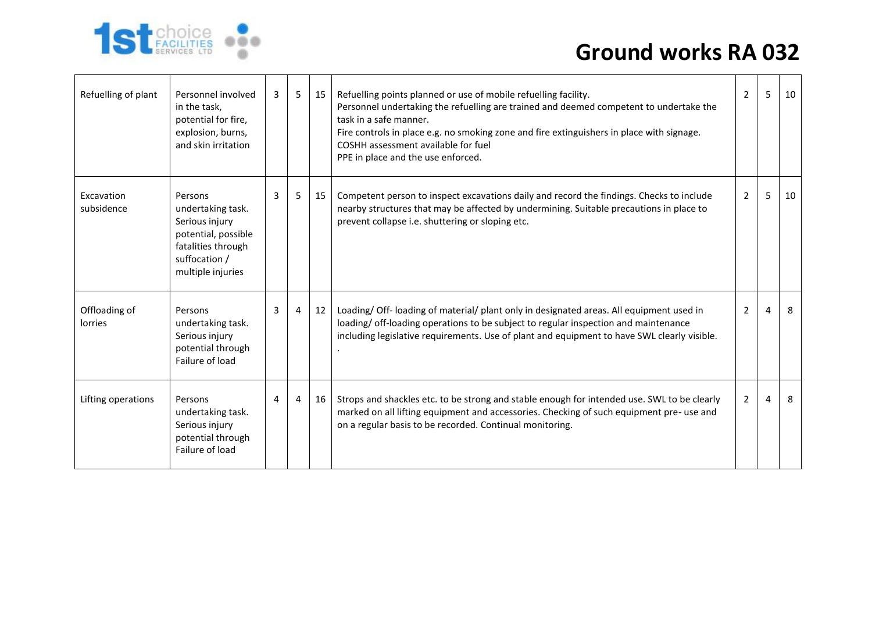

| Refuelling of plant      | Personnel involved<br>in the task,<br>potential for fire,<br>explosion, burns,<br>and skin irritation                             | 3 | 5 <sup>1</sup> | 15 | Refuelling points planned or use of mobile refuelling facility.<br>Personnel undertaking the refuelling are trained and deemed competent to undertake the<br>task in a safe manner.<br>Fire controls in place e.g. no smoking zone and fire extinguishers in place with signage.<br>COSHH assessment available for fuel<br>PPE in place and the use enforced. | $\overline{2}$ | 5 | 10 |
|--------------------------|-----------------------------------------------------------------------------------------------------------------------------------|---|----------------|----|---------------------------------------------------------------------------------------------------------------------------------------------------------------------------------------------------------------------------------------------------------------------------------------------------------------------------------------------------------------|----------------|---|----|
| Excavation<br>subsidence | Persons<br>undertaking task.<br>Serious injury<br>potential, possible<br>fatalities through<br>suffocation /<br>multiple injuries | 3 | 5 <sup>1</sup> | 15 | Competent person to inspect excavations daily and record the findings. Checks to include<br>nearby structures that may be affected by undermining. Suitable precautions in place to<br>prevent collapse i.e. shuttering or sloping etc.                                                                                                                       | 2              | 5 | 10 |
| Offloading of<br>lorries | Persons<br>undertaking task.<br>Serious injury<br>potential through<br>Failure of load                                            | 3 | $\overline{4}$ | 12 | Loading/Off-loading of material/ plant only in designated areas. All equipment used in<br>loading/ off-loading operations to be subject to regular inspection and maintenance<br>including legislative requirements. Use of plant and equipment to have SWL clearly visible.                                                                                  | $\overline{2}$ | 4 | 8  |
| Lifting operations       | Persons<br>undertaking task.<br>Serious injury<br>potential through<br>Failure of load                                            | 4 | $\overline{4}$ | 16 | Strops and shackles etc. to be strong and stable enough for intended use. SWL to be clearly<br>marked on all lifting equipment and accessories. Checking of such equipment pre- use and<br>on a regular basis to be recorded. Continual monitoring.                                                                                                           | $\overline{2}$ | 4 | 8  |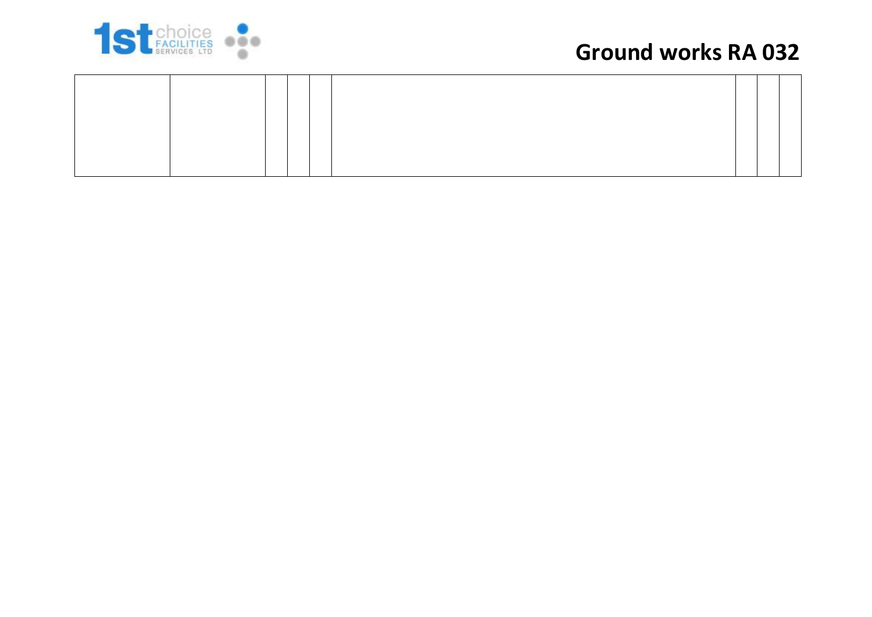